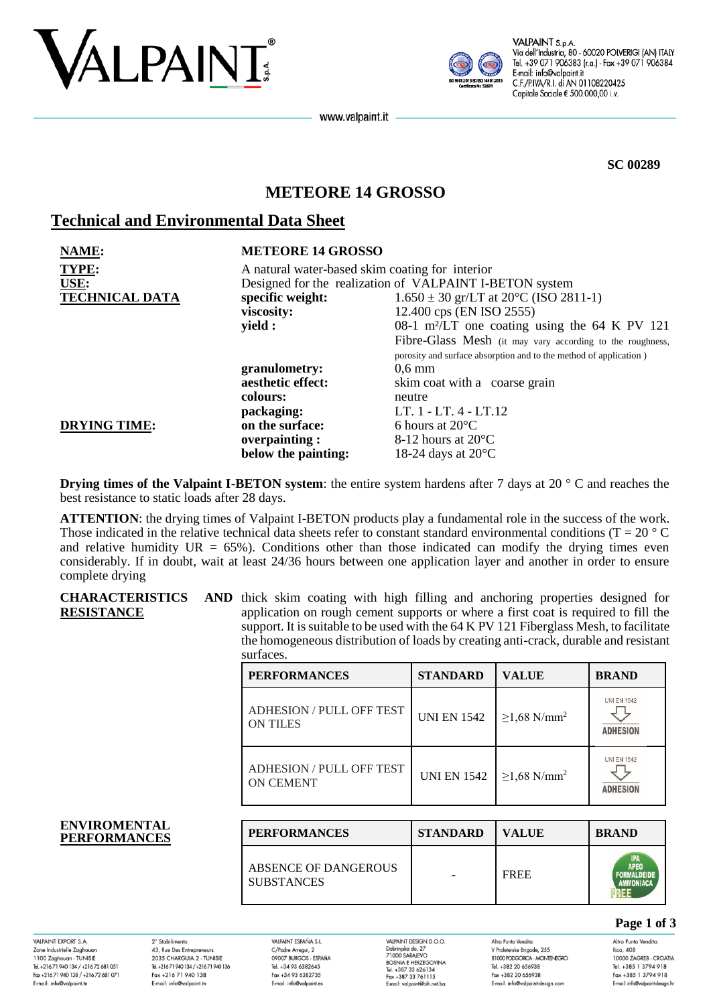



VALPAINT S.p.A Via dell'Industria, 80 - 60020 POLVERIGI (AN) ITALY Tel. +39 071 906383 (r.a.) - Fax +39 071 906384 E-mail: info@valpaint.it C.F./P.IVA/R.I. di AN 01108220425 Capitale Sociale € 500.000,00 i.v.

www.valpaint.it

**SC 00289**

# **METEORE 14 GROSSO**

## **Technical and Environmental Data Sheet**

| NAME:                 | <b>METEORE 14 GROSSO</b>                                |                                                                   |  |
|-----------------------|---------------------------------------------------------|-------------------------------------------------------------------|--|
| <b>TYPE:</b>          | A natural water-based skim coating for interior         |                                                                   |  |
| USE:                  | Designed for the realization of VALPAINT I-BETON system |                                                                   |  |
| <b>TECHNICAL DATA</b> | specific weight:                                        | $1.650 \pm 30$ gr/LT at 20 $^{\circ}$ C (ISO 2811-1)              |  |
|                       | viscosity:                                              | 12.400 cps (EN ISO 2555)                                          |  |
|                       | yield :                                                 | 08-1 m <sup>2</sup> /LT one coating using the 64 K PV 121         |  |
|                       |                                                         | Fibre-Glass Mesh (it may vary according to the roughness,         |  |
|                       |                                                         | porosity and surface absorption and to the method of application) |  |
|                       | granulometry:                                           | $0,6 \text{ mm}$                                                  |  |
|                       | aesthetic effect:                                       | skim coat with a coarse grain                                     |  |
|                       | colours:                                                | neutre                                                            |  |
|                       | packaging:                                              | LT. 1 - LT. 4 - LT.12                                             |  |
| <b>DRYING TIME:</b>   | on the surface:                                         | 6 hours at $20^{\circ}$ C                                         |  |
|                       | overpainting:                                           | 8-12 hours at $20^{\circ}$ C                                      |  |
|                       | below the painting:                                     | 18-24 days at $20^{\circ}$ C                                      |  |

**Drying times of the Valpaint I-BETON system**: the entire system hardens after 7 days at 20 ° C and reaches the best resistance to static loads after 28 days.

**ATTENTION**: the drying times of Valpaint I-BETON products play a fundamental role in the success of the work. Those indicated in the relative technical data sheets refer to constant standard environmental conditions ( $T = 20^{\circ}$ C) and relative humidity  $UR = 65\%$ ). Conditions other than those indicated can modify the drying times even considerably. If in doubt, wait at least 24/36 hours between one application layer and another in order to ensure complete drying

**CHARACTERISTICS RESISTANCE** AND thick skim coating with high filling and anchoring properties designed for application on rough cement supports or where a first coat is required to fill the support. It is suitable to be used with the 64 K PV 121 Fiberglass Mesh, to facilitate the homogeneous distribution of loads by creating anti-crack, durable and resistant

|                                            | surfaces.                                    |                    |                               |                                                                     |
|--------------------------------------------|----------------------------------------------|--------------------|-------------------------------|---------------------------------------------------------------------|
|                                            | <b>PERFORMANCES</b>                          | <b>STANDARD</b>    | <b>VALUE</b>                  | <b>BRAND</b>                                                        |
|                                            | ADHESION / PULL OFF TEST<br><b>ON TILES</b>  | <b>UNI EN 1542</b> | $\geq$ 1,68 N/mm <sup>2</sup> | <b>UNI EN 1542</b><br><b>ADHESION</b>                               |
|                                            | ADHESION / PULL OFF TEST<br><b>ON CEMENT</b> | <b>UNI EN 1542</b> | $\geq$ 1,68 N/mm <sup>2</sup> | <b>UNI EN 1542</b><br><b>ADHESION</b>                               |
|                                            |                                              |                    |                               |                                                                     |
| <b>ENVIROMENTAL</b><br><b>PERFORMANCES</b> | <b>PERFORMANCES</b>                          | <b>STANDARD</b>    | <b>VALUE</b>                  | <b>BRAND</b>                                                        |
|                                            | ABSENCE OF DANGEROUS<br><b>SUBSTANCES</b>    |                    | <b>FREE</b>                   | <b>IPA</b><br><b>APEO</b><br><b>FORMALDEIDE</b><br><b>AMMONIACA</b> |

VAI PAINT FYPORT S.A. Zone Industrielle Zaghoua 1100 Zaghouan - TUNISIE<br>Tel. +216 71 940 134 / +216 72 681 051 Fax +216 71 940 138 / +216 72 681 071 E-mail: info@valpaint.tn

2° Stabilimento 43, Rue Des Entrepreneurs 2035 CHARGUIA 2 - TUNISIE Tel. +21671 940 134 / +21671 940 136 Fax +216 71 940 138 E-mail: info@valpaint.tn

VAIPAINT ESPAÑA S.I. C/Padre Arregui, 2 09007 BURGOS - ESPAÑA Tel. +34 93 6382645 Fax +34 93 6382735 E-mail: info@valpaint.es

VAI PAINT DESIGN D O O VALPAINT DESIGN D.<br>Dobrinjska do, 27<br>71000 SARAJEVO<br>BOSNIA E HERZEGO Tel. +387 33 626134 Fax +387 33 761115 E-mail: valoaint@bib.net ba

Altro Punto Vendita V Proleterske Brigade, 255 **RIOOD PODGORICA - MONTENEGRO** Tel. +382 20 656938 Fax +382 20 656938 E-mail: info@valpaint-design.com

**Page 1 of 3**

**ERFE** 

Altro Punto Vendita: Ilica, 408 10000 ZAGREB - CROATIA Tel. +385 1 3794 918 Fax +385 1 3794 918 E-mail: info@valpaint-desian.hr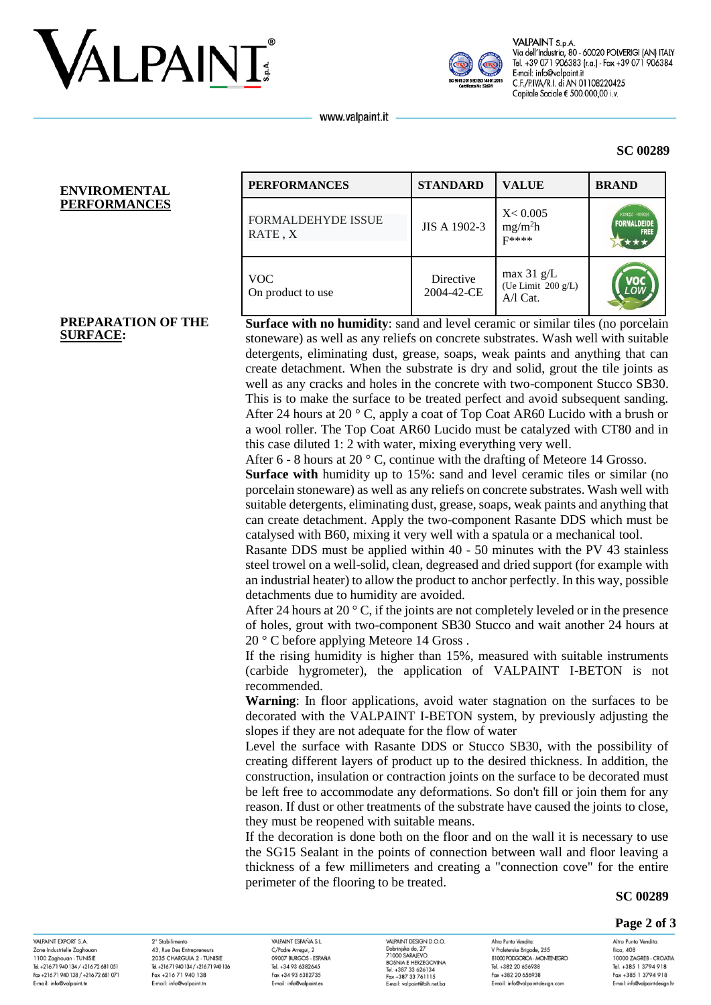



VALPAINT S.p.A Via dell'Industria, 80 - 60020 POLVERIGI (AN) ITALY Tel. +39 071 906383 (r.a.) - Fax +39 071 906384 E-mail: info@valpaint.it C.F./P.IVA/R.I. di AN 01108220425 Capitale Sociale € 500.000,00 i.v.

**SC 00289**

www.valpaint.it

#### **ENVIROMENTAL PERFORMANCES**

**PREPARATION OF THE** 

**SURFACE:**

| <b>PERFORMANCES</b>                  | <b>STANDARD</b>         | <b>VALUE</b>                                     | <b>BRAND</b>                                         |
|--------------------------------------|-------------------------|--------------------------------------------------|------------------------------------------------------|
| <b>FORMALDEHYDE ISSUE</b><br>RATE, X | JIS A 1902-3            | X < 0.005<br>mg/m <sup>2</sup> h<br>$F$ ****     | K09025 - K09026<br><b>FORMALDEIDE</b><br><b>FREE</b> |
| <b>VOC</b><br>On product to use      | Directive<br>2004-42-CE | max $31$ g/L<br>(Ue Limit 200 g/L)<br>$A/I$ Cat. |                                                      |

**Surface with no humidity:** sand and level ceramic or similar tiles (no porcelain stoneware) as well as any reliefs on concrete substrates. Wash well with suitable detergents, eliminating dust, grease, soaps, weak paints and anything that can create detachment. When the substrate is dry and solid, grout the tile joints as well as any cracks and holes in the concrete with two-component Stucco SB30. This is to make the surface to be treated perfect and avoid subsequent sanding. After 24 hours at 20 ° C, apply a coat of Top Coat AR60 Lucido with a brush or a wool roller. The Top Coat AR60 Lucido must be catalyzed with CT80 and in this case diluted 1: 2 with water, mixing everything very well.

After 6 - 8 hours at 20 ° C, continue with the drafting of Meteore 14 Grosso.

**Surface with** humidity up to 15%: sand and level ceramic tiles or similar (no porcelain stoneware) as well as any reliefs on concrete substrates. Wash well with suitable detergents, eliminating dust, grease, soaps, weak paints and anything that can create detachment. Apply the two-component Rasante DDS which must be catalysed with B60, mixing it very well with a spatula or a mechanical tool.

Rasante DDS must be applied within 40 - 50 minutes with the PV 43 stainless steel trowel on a well-solid, clean, degreased and dried support (for example with an industrial heater) to allow the product to anchor perfectly. In this way, possible detachments due to humidity are avoided.

After 24 hours at 20 ° C, if the joints are not completely leveled or in the presence of holes, grout with two-component SB30 Stucco and wait another 24 hours at 20 ° C before applying Meteore 14 Gross .

If the rising humidity is higher than 15%, measured with suitable instruments (carbide hygrometer), the application of VALPAINT I-BETON is not recommended.

**Warning**: In floor applications, avoid water stagnation on the surfaces to be decorated with the VALPAINT I-BETON system, by previously adjusting the slopes if they are not adequate for the flow of water

Level the surface with Rasante DDS or Stucco SB30, with the possibility of creating different layers of product up to the desired thickness. In addition, the construction, insulation or contraction joints on the surface to be decorated must be left free to accommodate any deformations. So don't fill or join them for any reason. If dust or other treatments of the substrate have caused the joints to close, they must be reopened with suitable means.

If the decoration is done both on the floor and on the wall it is necessary to use the SG15 Sealant in the points of connection between wall and floor leaving a thickness of a few millimeters and creating a "connection cove" for the entire perimeter of the flooring to be treated.

#### **SC 00289**

#### **Page 2 of 3**

VAI PAINT EYPORT & A Zone Industrielle Zaghoud 1100 Zaghouan - TUNISIE Tel. +216 71 940 134 / +216 72 681 051 Fax +216 71 940 138 / +216 72 681 071 E-mail: info@valpaint.tr

2° Stabilimento 43, Rue Des Entrepreneurs 2025 CHARCLILA 2 TUNISIE Tel. +216 71 940 134 / +216 71 940 136 Fax +216 71 940 138 E-mail: info@valpaint.tn

VAIRAINT ESPAÑA S I C/Padre Arregui, 2 OOOOZ BIJDCOS ESDAÑA Tel. +34 93 6382645 Fax +34 93 6382735 E-mail: info@valpaint.es

VAIRAINT DESIGN D O O VALPAINT DESIGN D.<br>Dobrinjska do, 27<br>71000 SARAJEVO<br>BOSNIA E HERZEGO Tel. +387 33 626134 Fax +387 33 761115 E-mail: valoaint@bib.net ba

Altro Punto Vendita V Proleterske Brigade, 255 **PRODUCED PRODUCT A MONETAIRED** Tel. +382 20 656938 Fax +382 20 656938 E-mail: info@valpaint-design.com

Altro Punto Vendita: Ilica, 408 10000 ZAGREB - CROATIA Tel. +385 1 3794 918 Fax +385 1 3794 918 E-mail: info@valpaint-desian.hr